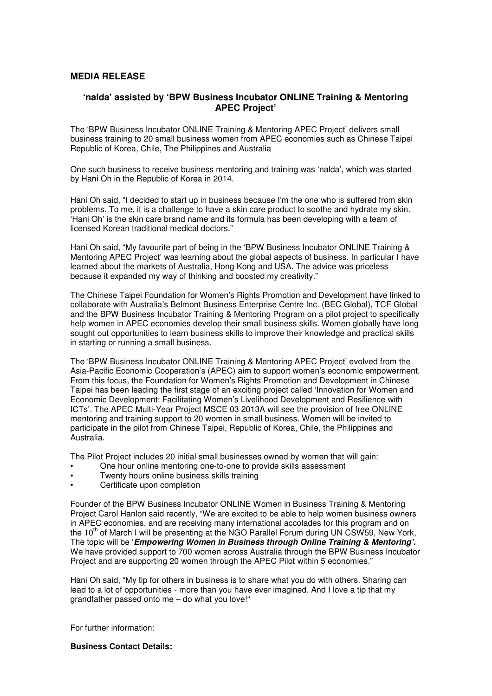## **MEDIA RELEASE**

## **'nalda' assisted by 'BPW Business Incubator ONLINE Training & Mentoring APEC Project'**

The 'BPW Business Incubator ONLINE Training & Mentoring APEC Project' delivers small business training to 20 small business women from APEC economies such as Chinese Taipei Republic of Korea, Chile, The Philippines and Australia

One such business to receive business mentoring and training was 'nalda', which was started by Hani Oh in the Republic of Korea in 2014.

Hani Oh said, "I decided to start up in business because I'm the one who is suffered from skin problems. To me, it is a challenge to have a skin care product to soothe and hydrate my skin. 'Hani Oh' is the skin care brand name and its formula has been developing with a team of licensed Korean traditional medical doctors."

Hani Oh said, "My favourite part of being in the 'BPW Business Incubator ONLINE Training & Mentoring APEC Project' was learning about the global aspects of business. In particular I have learned about the markets of Australia, Hong Kong and USA. The advice was priceless because it expanded my way of thinking and boosted my creativity."

The Chinese Taipei Foundation for Women's Rights Promotion and Development have linked to collaborate with Australia's Belmont Business Enterprise Centre Inc. (BEC Global), TCF Global and the BPW Business Incubator Training & Mentoring Program on a pilot project to specifically help women in APEC economies develop their small business skills. Women globally have long sought out opportunities to learn business skills to improve their knowledge and practical skills in starting or running a small business.

The 'BPW Business Incubator ONLINE Training & Mentoring APEC Project' evolved from the Asia-Pacific Economic Cooperation's (APEC) aim to support women's economic empowerment. From this focus, the Foundation for Women's Rights Promotion and Development in Chinese Taipei has been leading the first stage of an exciting project called 'Innovation for Women and Economic Development: Facilitating Women's Livelihood Development and Resilience with ICTs'. The APEC Multi-Year Project MSCE 03 2013A will see the provision of free ONLINE mentoring and training support to 20 women in small business. Women will be invited to participate in the pilot from Chinese Taipei, Republic of Korea, Chile, the Philippines and Australia.

The Pilot Project includes 20 initial small businesses owned by women that will gain:

- One hour online mentoring one-to-one to provide skills assessment
- Twenty hours online business skills training
- Certificate upon completion

Founder of the BPW Business Incubator ONLINE Women in Business Training & Mentoring Project Carol Hanlon said recently, "We are excited to be able to help women business owners in APEC economies, and are receiving many international accolades for this program and on the 10<sup>th</sup> of March I will be presenting at the NGO Parallel Forum during UN CSW59, New York, The topic will be '**Empowering Women in Business through Online Training & Mentoring'.**  We have provided support to 700 women across Australia through the BPW Business Incubator Project and are supporting 20 women through the APEC Pilot within 5 economies."

Hani Oh said, "My tip for others in business is to share what you do with others. Sharing can lead to a lot of opportunities - more than you have ever imagined. And I love a tip that my grandfather passed onto me – do what you love!"

For further information:

**Business Contact Details:**